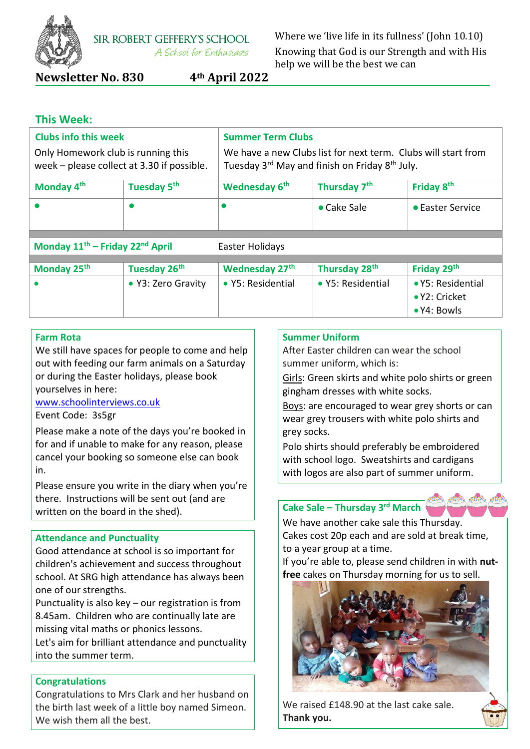

**SIR ROBERT GEFFERY'S SCHOOL** A School for Enthusiasts

Where we 'live life in its fullness' (John 10.10) Knowing that God is our Strength and with His help we will be the best we can

**Newsletter No. 830 4th April 2022**

### **This Week:**

| <b>Clubs info this week</b><br>Only Homework club is running this<br>week - please collect at 3.30 if possible. |                         | <b>Summer Term Clubs</b><br>We have a new Clubs list for next term. Clubs will start from<br>Tuesday 3rd May and finish on Friday 8th July. |                          |                                                           |  |
|-----------------------------------------------------------------------------------------------------------------|-------------------------|---------------------------------------------------------------------------------------------------------------------------------------------|--------------------------|-----------------------------------------------------------|--|
| Monday 4 <sup>th</sup>                                                                                          | Tuesday 5 <sup>th</sup> | Wednesday 6 <sup>th</sup>                                                                                                                   | Thursday 7 <sup>th</sup> | Friday 8 <sup>th</sup>                                    |  |
|                                                                                                                 |                         |                                                                                                                                             | $\bullet$ Cake Sale      | • Easter Service                                          |  |
| Monday 11 <sup>th</sup> - Friday 22 <sup>nd</sup> April<br>Easter Holidays                                      |                         |                                                                                                                                             |                          |                                                           |  |
| Monday 25th                                                                                                     | Tuesday 26th            | <b>Wednesday 27th</b>                                                                                                                       | Thursday 28th            | Friday 29th                                               |  |
|                                                                                                                 | • Y3: Zero Gravity      | • Y5: Residential                                                                                                                           | • Y5: Residential        | • Y5: Residential<br>• Y2: Cricket<br>$\bullet$ Y4: Bowls |  |

### **Farm Rota**

We still have spaces for people to come and help out with feeding our farm animals on a Saturday or during the Easter holidays, please book yourselves in here:

#### [www.schoolinterviews.co.uk](http://www.schoolinterviews.co.uk/)

#### Event Code: 3s5gr

Please make a note of the days you're booked in for and if unable to make for any reason, please cancel your booking so someone else can book in.

Please ensure you write in the diary when you're there. Instructions will be sent out (and are written on the board in the shed).

#### **Attendance and Punctuality**

Good attendance at school is so important for children's achievement and success throughout school. At SRG high attendance has always been one of our strengths.

Punctuality is also key – our registration is from 8.45am. Children who are continually late are missing vital maths or phonics lessons.

Let's aim for brilliant attendance and punctuality into the summer term.

### **Congratulations**

Congratulations to Mrs Clark and her husband on the birth last week of a little boy named Simeon. We wish them all the best.

### **Summer Uniform**

After Easter children can wear the school summer uniform, which is:

Girls: Green skirts and white polo shirts or green gingham dresses with white socks.

Boys: are encouraged to wear grey shorts or can wear grey trousers with white polo shirts and grey socks.

Polo shirts should preferably be embroidered with school logo. Sweatshirts and cardigans with logos are also part of summer uniform.



We have another cake sale this Thursday. Cakes cost 20p each and are sold at break time, to a year group at a time.

If you're able to, please send children in with **nutfree** cakes on Thursday morning for us to sell.



We raised £148.90 at the last cake sale. **Thank you.**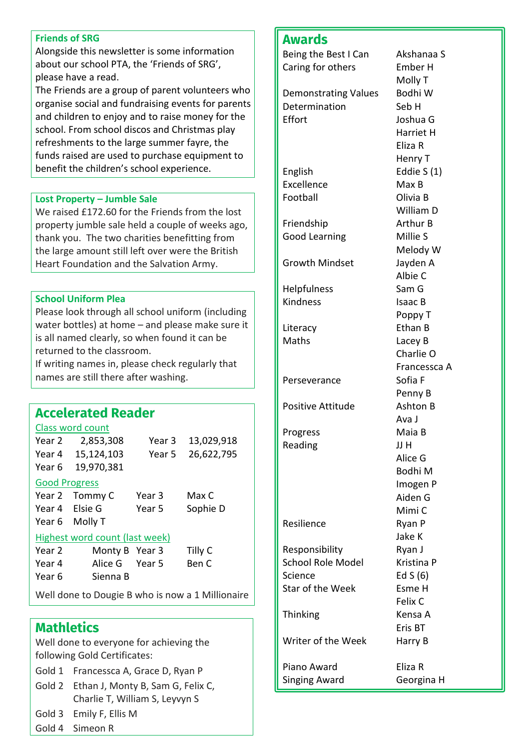#### **Friends of SRG**

Alongside this newsletter is some information about our school PTA, the 'Friends of SRG', please have a read.

The Friends are a group of parent volunteers who organise social and fundraising events for parents and children to enjoy and to raise money for the school. From school discos and Christmas play refreshments to the large summer fayre, the funds raised are used to purchase equipment to benefit the children's school experience.

### **Lost Property – Jumble Sale**

We raised £172.60 for the Friends from the lost property jumble sale held a couple of weeks ago, thank you. The two charities benefitting from the large amount still left over were the British Heart Foundation and the Salvation Army.

### **School Uniform Plea**

Please look through all school uniform (including water bottles) at home – and please make sure it is all named clearly, so when found it can be returned to the classroom.

If writing names in, please check regularly that names are still there after washing.

# **Accelerated Reader**

### Class word count

| Year 2                         | 2,853,308      | Year 3 | 13,029,918 |  |  |
|--------------------------------|----------------|--------|------------|--|--|
| Year 4                         | 15,124,103     | Year 5 | 26,622,795 |  |  |
| Year 6                         | 19,970,381     |        |            |  |  |
| <b>Good Progress</b>           |                |        |            |  |  |
| Year 2                         | Tommy C        | Year 3 | Max C      |  |  |
| Year 4                         | Elsie G        | Year 5 | Sophie D   |  |  |
| Year 6                         | Molly T        |        |            |  |  |
| Highest word count (last week) |                |        |            |  |  |
| Year 2                         | Monty B Year 3 |        | Tilly C    |  |  |
| Year 4                         | Alice G        | Year 5 | Ben C      |  |  |
| Year 6                         | Sienna B       |        |            |  |  |

Well done to Dougie B who is now a 1 Millionaire

## **Mathletics**

Well done to everyone for achieving the following Gold Certificates:

- Gold 1 Francessca A, Grace D, Ryan P
- Gold 2 Ethan J, Monty B, Sam G, Felix C, Charlie T, William S, Leyvyn S
- Gold 3 Emily F, Ellis M
- Gold 4 Simeon R

## **Awards**

| Being the Best I Can        | Akshanaa S      |
|-----------------------------|-----------------|
| Caring for others           | Ember H         |
|                             | Molly T         |
| <b>Demonstrating Values</b> | Bodhi W         |
| Determination               | Seb H           |
|                             |                 |
| Effort                      | Joshua G        |
|                             | Harriet H       |
|                             | Eliza R         |
|                             | Henry T         |
| English                     | Eddie S(1)      |
| Excellence                  | Max B           |
| Football                    | Olivia B        |
|                             | William D       |
| Friendship                  | <b>Arthur B</b> |
| <b>Good Learning</b>        | Millie S        |
|                             |                 |
|                             | Melody W        |
| <b>Growth Mindset</b>       | Jayden A        |
|                             | Albie C         |
| Helpfulness                 | Sam G           |
| Kindness                    | Isaac B         |
|                             | Poppy T         |
| Literacy                    | Ethan B         |
| Maths                       | Lacey B         |
|                             | Charlie O       |
|                             | Francessca A    |
| Perseverance                | Sofia F         |
|                             | Penny B         |
| <b>Positive Attitude</b>    | Ashton B        |
|                             | Ava J           |
| Progress                    | Maia B          |
|                             |                 |
| Reading                     | JJ H            |
|                             | Alice G         |
|                             | Bodhi M         |
|                             | Imogen P        |
|                             | Aiden G         |
|                             | Mimi C          |
| Resilience                  | Ryan P          |
|                             | Jake K          |
| Responsibility              | Ryan J          |
| <b>School Role Model</b>    | Kristina P      |
| Science                     | Ed $S(6)$       |
| <b>Star of the Week</b>     | Esme H          |
|                             | Felix C         |
| Thinking                    | Kensa A         |
|                             |                 |
|                             | Eris BT         |
| Writer of the Week          | Harry B         |
|                             |                 |
| Piano Award                 | Eliza R         |
| Singing Award               | Georgina H      |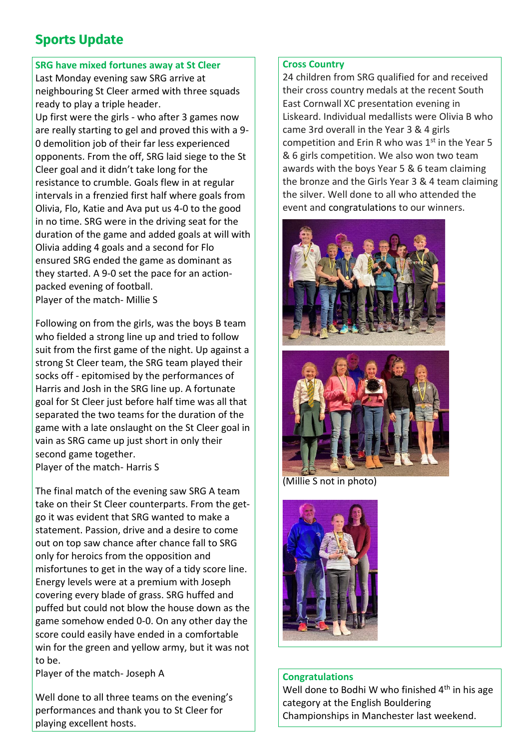# **Sports Update**

### **SRG have mixed fortunes away at St Cleer**

Last Monday evening saw SRG arrive at neighbouring St Cleer armed with three squads ready to play a triple header.

Up first were the girls - who after 3 games now are really starting to gel and proved this with a 9- 0 demolition job of their far less experienced opponents. From the off, SRG laid siege to the St Cleer goal and it didn't take long for the resistance to crumble. Goals flew in at regular intervals in a frenzied first half where goals from Olivia, Flo, Katie and Ava put us 4-0 to the good in no time. SRG were in the driving seat for the duration of the game and added goals at will with Olivia adding 4 goals and a second for Flo ensured SRG ended the game as dominant as they started. A 9-0 set the pace for an actionpacked evening of football. Player of the match- Millie S

Following on from the girls, was the boys B team who fielded a strong line up and tried to follow suit from the first game of the night. Up against a strong St Cleer team, the SRG team played their socks off - epitomised by the performances of Harris and Josh in the SRG line up. A fortunate goal for St Cleer just before half time was all that separated the two teams for the duration of the game with a late onslaught on the St Cleer goal in vain as SRG came up just short in only their second game together.

Player of the match- Harris S

The final match of the evening saw SRG A team take on their St Cleer counterparts. From the getgo it was evident that SRG wanted to make a statement. Passion, drive and a desire to come out on top saw chance after chance fall to SRG only for heroics from the opposition and misfortunes to get in the way of a tidy score line. Energy levels were at a premium with Joseph covering every blade of grass. SRG huffed and puffed but could not blow the house down as the game somehow ended 0-0. On any other day the score could easily have ended in a comfortable win for the green and yellow army, but it was not to be.

Player of the match- Joseph A

Well done to all three teams on the evening's performances and thank you to St Cleer for playing excellent hosts.

### **Cross Country**

24 children from SRG qualified for and received their cross country medals at the recent South East Cornwall XC presentation evening in Liskeard. Individual medallists were Olivia B who came 3rd overall in the Year 3 & 4 girls competition and Erin R who was  $1<sup>st</sup>$  in the Year 5 & 6 girls competition. We also won two team awards with the boys Year 5 & 6 team claiming the bronze and the Girls Year 3 & 4 team claiming the silver. Well done to all who attended the event and congratulations to our winners.





(Millie S not in photo)



### **Congratulations**

Well done to Bodhi W who finished  $4<sup>th</sup>$  in his age category at the English Bouldering Championships in Manchester last weekend.